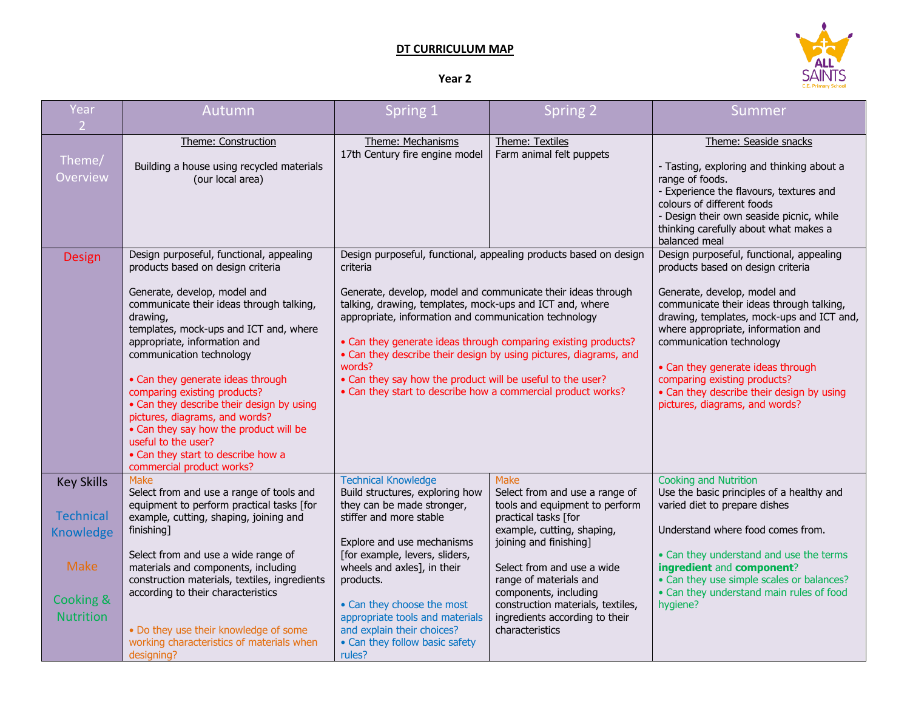## **DT CURRICULUM MAP**



## **Year 2**

| Year<br>2 <sup>1</sup>                                                                             | Autumn                                                                                                                                                                                                                                                                                                                                                                                                                                                                                                                                                              | Spring 1                                                                                                                                                                                                                                                                                                                                                                                                                                                                                                                                          | <b>Spring 2</b>                                                                                                                                                                                                                                                                                                                            | Summer                                                                                                                                                                                                                                                                                                                                                                                                                       |
|----------------------------------------------------------------------------------------------------|---------------------------------------------------------------------------------------------------------------------------------------------------------------------------------------------------------------------------------------------------------------------------------------------------------------------------------------------------------------------------------------------------------------------------------------------------------------------------------------------------------------------------------------------------------------------|---------------------------------------------------------------------------------------------------------------------------------------------------------------------------------------------------------------------------------------------------------------------------------------------------------------------------------------------------------------------------------------------------------------------------------------------------------------------------------------------------------------------------------------------------|--------------------------------------------------------------------------------------------------------------------------------------------------------------------------------------------------------------------------------------------------------------------------------------------------------------------------------------------|------------------------------------------------------------------------------------------------------------------------------------------------------------------------------------------------------------------------------------------------------------------------------------------------------------------------------------------------------------------------------------------------------------------------------|
| Theme/<br><b>Overview</b>                                                                          | Theme: Construction<br>Building a house using recycled materials<br>(our local area)                                                                                                                                                                                                                                                                                                                                                                                                                                                                                | Theme: Mechanisms<br>17th Century fire engine model                                                                                                                                                                                                                                                                                                                                                                                                                                                                                               | Theme: Textiles<br>Farm animal felt puppets                                                                                                                                                                                                                                                                                                | Theme: Seaside snacks<br>- Tasting, exploring and thinking about a<br>range of foods.<br>- Experience the flavours, textures and<br>colours of different foods<br>- Design their own seaside picnic, while<br>thinking carefully about what makes a<br>balanced meal                                                                                                                                                         |
| <b>Design</b>                                                                                      | Design purposeful, functional, appealing<br>products based on design criteria<br>Generate, develop, model and<br>communicate their ideas through talking,<br>drawing,<br>templates, mock-ups and ICT and, where<br>appropriate, information and<br>communication technology<br>• Can they generate ideas through<br>comparing existing products?<br>• Can they describe their design by using<br>pictures, diagrams, and words?<br>• Can they say how the product will be<br>useful to the user?<br>• Can they start to describe how a<br>commercial product works? | Design purposeful, functional, appealing products based on design<br>criteria<br>Generate, develop, model and communicate their ideas through<br>talking, drawing, templates, mock-ups and ICT and, where<br>appropriate, information and communication technology<br>• Can they generate ideas through comparing existing products?<br>• Can they describe their design by using pictures, diagrams, and<br>words?<br>• Can they say how the product will be useful to the user?<br>• Can they start to describe how a commercial product works? |                                                                                                                                                                                                                                                                                                                                            | Design purposeful, functional, appealing<br>products based on design criteria<br>Generate, develop, model and<br>communicate their ideas through talking,<br>drawing, templates, mock-ups and ICT and,<br>where appropriate, information and<br>communication technology<br>• Can they generate ideas through<br>comparing existing products?<br>• Can they describe their design by using<br>pictures, diagrams, and words? |
| <b>Key Skills</b><br><b>Technical</b><br>Knowledge<br><b>Make</b><br>Cooking &<br><b>Nutrition</b> | Make<br>Select from and use a range of tools and<br>equipment to perform practical tasks [for<br>example, cutting, shaping, joining and<br>finishing]<br>Select from and use a wide range of<br>materials and components, including<br>construction materials, textiles, ingredients<br>according to their characteristics<br>. Do they use their knowledge of some<br>working characteristics of materials when<br>designing?                                                                                                                                      | <b>Technical Knowledge</b><br>Build structures, exploring how<br>they can be made stronger,<br>stiffer and more stable<br>Explore and use mechanisms<br>[for example, levers, sliders,<br>wheels and axles], in their<br>products.<br>• Can they choose the most<br>appropriate tools and materials<br>and explain their choices?<br>• Can they follow basic safety<br>rules?                                                                                                                                                                     | <b>Make</b><br>Select from and use a range of<br>tools and equipment to perform<br>practical tasks [for<br>example, cutting, shaping,<br>joining and finishing]<br>Select from and use a wide<br>range of materials and<br>components, including<br>construction materials, textiles,<br>ingredients according to their<br>characteristics | <b>Cooking and Nutrition</b><br>Use the basic principles of a healthy and<br>varied diet to prepare dishes<br>Understand where food comes from.<br>• Can they understand and use the terms<br>ingredient and component?<br>• Can they use simple scales or balances?<br>• Can they understand main rules of food<br>hygiene?                                                                                                 |